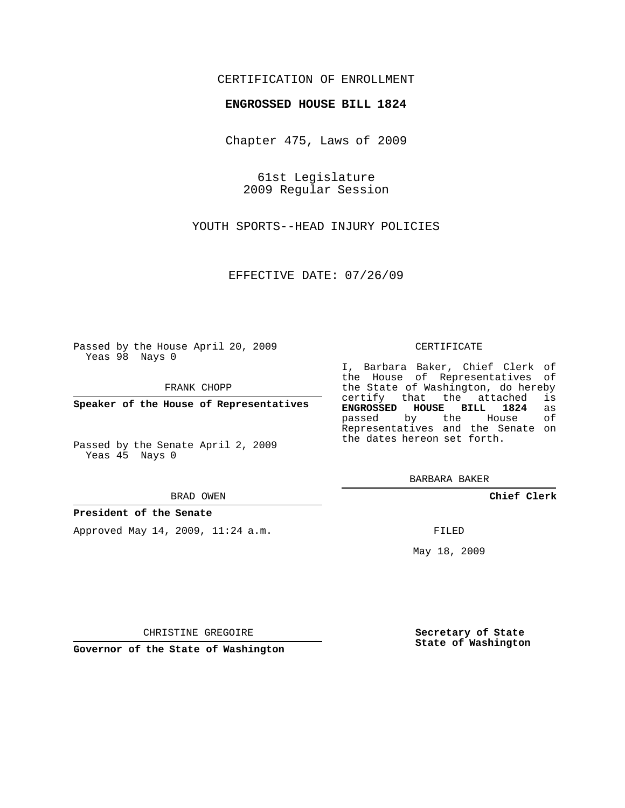## CERTIFICATION OF ENROLLMENT

## **ENGROSSED HOUSE BILL 1824**

Chapter 475, Laws of 2009

61st Legislature 2009 Regular Session

YOUTH SPORTS--HEAD INJURY POLICIES

EFFECTIVE DATE: 07/26/09

Passed by the House April 20, 2009 Yeas 98 Nays 0

FRANK CHOPP

**Speaker of the House of Representatives**

Passed by the Senate April 2, 2009 Yeas 45 Nays 0

BRAD OWEN

### **President of the Senate**

Approved May 14, 2009, 11:24 a.m.

#### CERTIFICATE

I, Barbara Baker, Chief Clerk of the House of Representatives of the State of Washington, do hereby<br>certify that the attached is certify that the attached **ENGROSSED HOUSE BILL 1824** as passed by the House Representatives and the Senate on the dates hereon set forth.

BARBARA BAKER

**Chief Clerk**

FILED

May 18, 2009

**Secretary of State State of Washington**

CHRISTINE GREGOIRE

**Governor of the State of Washington**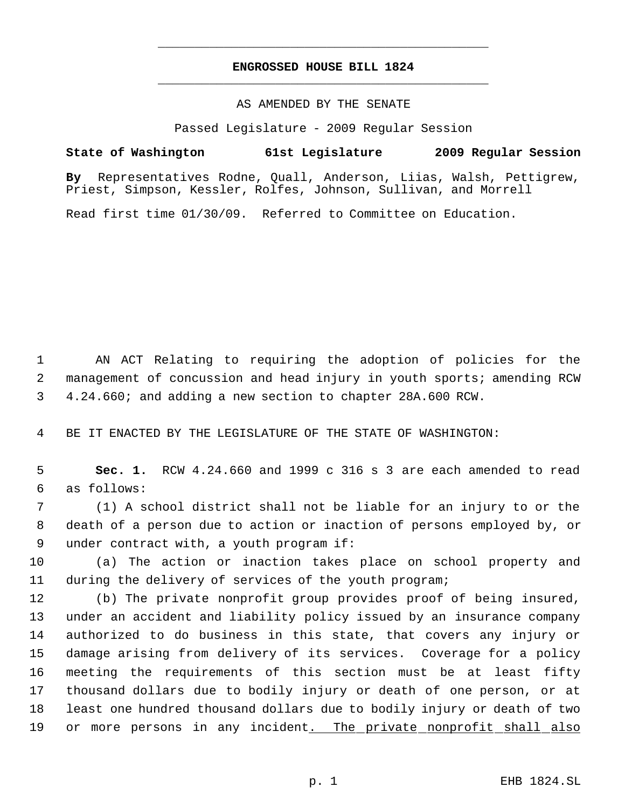# **ENGROSSED HOUSE BILL 1824** \_\_\_\_\_\_\_\_\_\_\_\_\_\_\_\_\_\_\_\_\_\_\_\_\_\_\_\_\_\_\_\_\_\_\_\_\_\_\_\_\_\_\_\_\_

\_\_\_\_\_\_\_\_\_\_\_\_\_\_\_\_\_\_\_\_\_\_\_\_\_\_\_\_\_\_\_\_\_\_\_\_\_\_\_\_\_\_\_\_\_

## AS AMENDED BY THE SENATE

Passed Legislature - 2009 Regular Session

**State of Washington 61st Legislature 2009 Regular Session**

**By** Representatives Rodne, Quall, Anderson, Liias, Walsh, Pettigrew, Priest, Simpson, Kessler, Rolfes, Johnson, Sullivan, and Morrell

Read first time 01/30/09. Referred to Committee on Education.

 AN ACT Relating to requiring the adoption of policies for the management of concussion and head injury in youth sports; amending RCW 4.24.660; and adding a new section to chapter 28A.600 RCW.

BE IT ENACTED BY THE LEGISLATURE OF THE STATE OF WASHINGTON:

 **Sec. 1.** RCW 4.24.660 and 1999 c 316 s 3 are each amended to read as follows:

 (1) A school district shall not be liable for an injury to or the death of a person due to action or inaction of persons employed by, or under contract with, a youth program if:

 (a) The action or inaction takes place on school property and during the delivery of services of the youth program;

 (b) The private nonprofit group provides proof of being insured, under an accident and liability policy issued by an insurance company authorized to do business in this state, that covers any injury or damage arising from delivery of its services. Coverage for a policy meeting the requirements of this section must be at least fifty thousand dollars due to bodily injury or death of one person, or at least one hundred thousand dollars due to bodily injury or death of two 19 or more persons in any incident<u>. The private nonprofit shall also</u>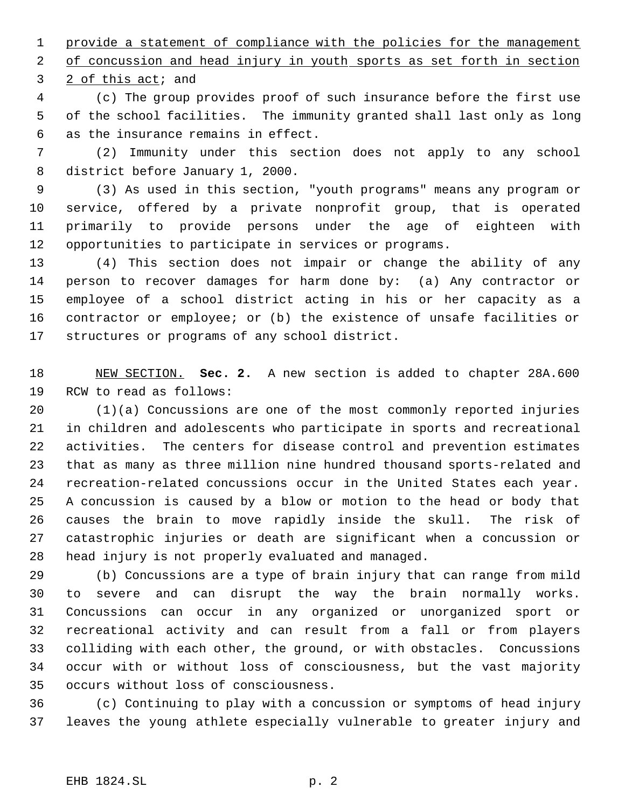1 provide a statement of compliance with the policies for the management 2 of concussion and head injury in youth sports as set forth in section

2 of this act; and

 (c) The group provides proof of such insurance before the first use of the school facilities. The immunity granted shall last only as long as the insurance remains in effect.

 (2) Immunity under this section does not apply to any school district before January 1, 2000.

 (3) As used in this section, "youth programs" means any program or service, offered by a private nonprofit group, that is operated primarily to provide persons under the age of eighteen with opportunities to participate in services or programs.

 (4) This section does not impair or change the ability of any person to recover damages for harm done by: (a) Any contractor or employee of a school district acting in his or her capacity as a contractor or employee; or (b) the existence of unsafe facilities or structures or programs of any school district.

 NEW SECTION. **Sec. 2.** A new section is added to chapter 28A.600 RCW to read as follows:

 (1)(a) Concussions are one of the most commonly reported injuries in children and adolescents who participate in sports and recreational activities. The centers for disease control and prevention estimates that as many as three million nine hundred thousand sports-related and recreation-related concussions occur in the United States each year. A concussion is caused by a blow or motion to the head or body that causes the brain to move rapidly inside the skull. The risk of catastrophic injuries or death are significant when a concussion or head injury is not properly evaluated and managed.

 (b) Concussions are a type of brain injury that can range from mild to severe and can disrupt the way the brain normally works. Concussions can occur in any organized or unorganized sport or recreational activity and can result from a fall or from players colliding with each other, the ground, or with obstacles. Concussions occur with or without loss of consciousness, but the vast majority occurs without loss of consciousness.

 (c) Continuing to play with a concussion or symptoms of head injury leaves the young athlete especially vulnerable to greater injury and